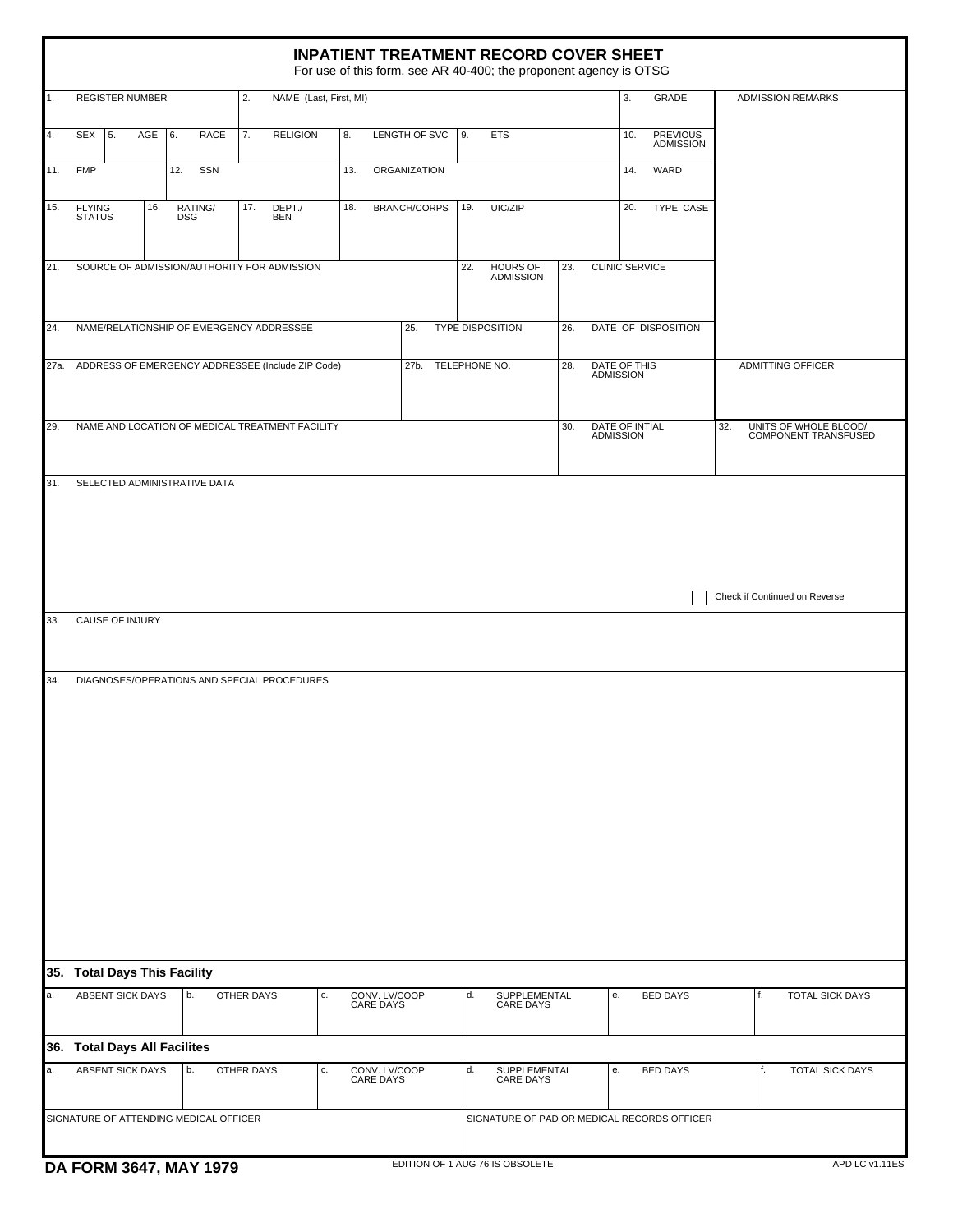| <b>INPATIENT TREATMENT RECORD COVER SHEET</b><br>For use of this form, see AR 40-400; the proponent agency is OTSG |                                                        |                                                 |                                             |                            |                                       |                                             |                                         |                                                      |                          |
|--------------------------------------------------------------------------------------------------------------------|--------------------------------------------------------|-------------------------------------------------|---------------------------------------------|----------------------------|---------------------------------------|---------------------------------------------|-----------------------------------------|------------------------------------------------------|--------------------------|
| 1.                                                                                                                 | <b>REGISTER NUMBER</b><br>2.<br>NAME (Last, First, MI) |                                                 |                                             |                            |                                       |                                             | 3.                                      | GRADE                                                | <b>ADMISSION REMARKS</b> |
| 4.                                                                                                                 | <b>SEX</b><br>5.<br>AGE                                | 6.<br><b>RACE</b>                               | 7.<br><b>RELIGION</b>                       | 8.                         | LENGTH OF SVC                         | 9.<br><b>ETS</b>                            |                                         | <b>PREVIOUS</b><br>10.<br><b>ADMISSION</b>           |                          |
| 11.                                                                                                                | <b>FMP</b>                                             | 12.<br>SSN                                      |                                             | 13.                        | <b>ORGANIZATION</b>                   |                                             |                                         | 14.<br>WARD                                          |                          |
| 15.                                                                                                                | 16.<br>FLYING<br>STATUS                                | RATING/<br>DSG                                  | DEPT./<br>17.<br><b>BEN</b>                 | 18.                        | <b>BRANCH/CORPS</b>                   | 19.<br>UIC/ZIP                              |                                         | 20.<br>TYPE CASE                                     |                          |
| 21.                                                                                                                |                                                        |                                                 | SOURCE OF ADMISSION/AUTHORITY FOR ADMISSION |                            |                                       | 22.<br><b>HOURS OF</b><br><b>ADMISSION</b>  | 23.                                     | <b>CLINIC SERVICE</b>                                |                          |
| 24.                                                                                                                | NAME/RELATIONSHIP OF EMERGENCY ADDRESSEE               |                                                 |                                             |                            | 25.<br><b>TYPE DISPOSITION</b><br>26. |                                             |                                         | DATE OF DISPOSITION                                  |                          |
| 27a.                                                                                                               | ADDRESS OF EMERGENCY ADDRESSEE (Include ZIP Code)      |                                                 |                                             |                            | 27b.                                  | TELEPHONE NO.                               | 28.<br>DATE OF THIS<br><b>ADMISSION</b> |                                                      | <b>ADMITTING OFFICER</b> |
| 29.                                                                                                                |                                                        | NAME AND LOCATION OF MEDICAL TREATMENT FACILITY |                                             |                            |                                       | 30.<br><b>ADMISSION</b>                     | DATE OF INTIAL                          | 32.<br>UNITS OF WHOLE BLOOD/<br>COMPONENT TRANSFUSED |                          |
| SELECTED ADMINISTRATIVE DATA<br>31.<br>Check if Continued on Reverse                                               |                                                        |                                                 |                                             |                            |                                       |                                             |                                         |                                                      |                          |
| 33.                                                                                                                | CAUSE OF INJURY                                        |                                                 |                                             |                            |                                       |                                             |                                         |                                                      |                          |
| 34.                                                                                                                |                                                        |                                                 | DIAGNOSES/OPERATIONS AND SPECIAL PROCEDURES |                            |                                       |                                             |                                         |                                                      |                          |
|                                                                                                                    | 35. Total Days This Facility                           |                                                 |                                             |                            |                                       |                                             |                                         |                                                      |                          |
| a.                                                                                                                 | ABSENT SICK DAYS                                       | b.                                              | OTHER DAYS<br>c.                            | CONV. LV/COOP<br>CARE DAYS |                                       | SUPPLEMENTAL<br>d.<br>CARE DAYS             | е.                                      | <b>BED DAYS</b>                                      | TOTAL SICK DAYS<br>f.    |
| 36. Total Days All Facilites                                                                                       |                                                        |                                                 |                                             |                            |                                       |                                             |                                         |                                                      |                          |
| a.                                                                                                                 | ABSENT SICK DAYS                                       | b.                                              | OTHER DAYS<br>c.                            | CONV. LV/COOP<br>CARE DAYS |                                       | SUPPLEMENTAL<br>d.<br>CARE DAYS             | е.                                      | <b>BED DAYS</b>                                      | TOTAL SICK DAYS<br>f.    |
| SIGNATURE OF ATTENDING MEDICAL OFFICER                                                                             |                                                        |                                                 |                                             |                            |                                       | SIGNATURE OF PAD OR MEDICAL RECORDS OFFICER |                                         |                                                      |                          |
| EDITION OF 1 AUG 76 IS OBSOLETE<br>DA FORM 3647, MAY 1979                                                          |                                                        |                                                 |                                             |                            |                                       |                                             |                                         |                                                      | APD LC v1.11ES           |